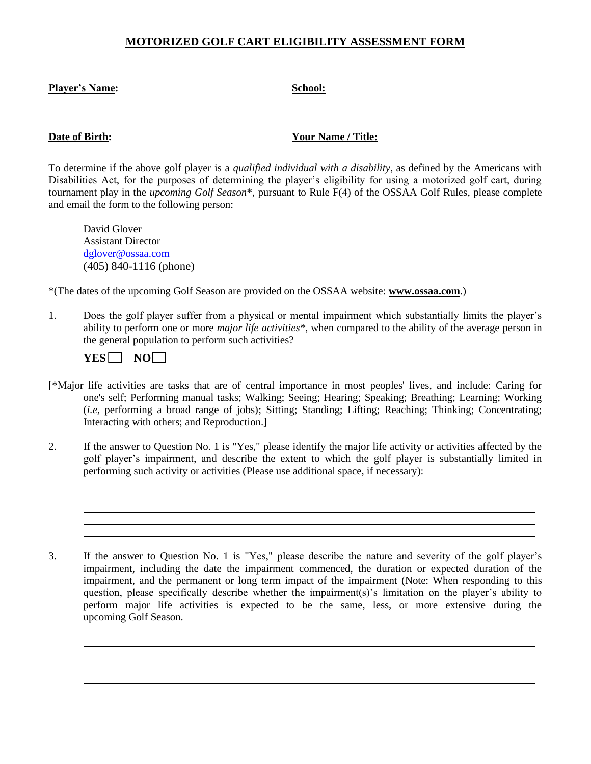## **MOTORIZED GOLF CART ELIGIBILITY ASSESSMENT FORM**

### Player's Name: School: **School: School: School: School: School: School: School: School: School: School: School: School: School: School: School: School: School: School: School: School:**

### **Date of Birth:** Your Name / Title:

To determine if the above golf player is a *qualified individual with a disability*, as defined by the Americans with Disabilities Act, for the purposes of determining the player's eligibility for using a motorized golf cart, during tournament play in the *upcoming Golf Season*\*, pursuant to Rule F(4) of the OSSAA Golf Rules, please complete and email the form to the following person:

David Glover Assistant Director [dglover@ossaa.com](mailto:dglover@ossaa.com) (405) 840-1116 (phone)

\*(The dates of the upcoming Golf Season are provided on the OSSAA website: **www.ossaa.com**.)

1. Does the golf player suffer from a physical or mental impairment which substantially limits the player's ability to perform one or more *major life activities\**, when compared to the ability of the average person in the general population to perform such activities?

| Ö | ١ |
|---|---|
|   |   |

- [\*Major life activities are tasks that are of central importance in most peoples' lives, and include: Caring for one's self; Performing manual tasks; Walking; Seeing; Hearing; Speaking; Breathing; Learning; Working (*i.e,* performing a broad range of jobs); Sitting; Standing; Lifting; Reaching; Thinking; Concentrating; Interacting with others; and Reproduction.]
- 2. If the answer to Question No. 1 is "Yes," please identify the major life activity or activities affected by the golf player's impairment, and describe the extent to which the golf player is substantially limited in performing such activity or activities (Please use additional space, if necessary):
- 3. If the answer to Question No. 1 is "Yes," please describe the nature and severity of the golf player's impairment, including the date the impairment commenced, the duration or expected duration of the impairment, and the permanent or long term impact of the impairment (Note: When responding to this question, please specifically describe whether the impairment(s)'s limitation on the player's ability to perform major life activities is expected to be the same, less, or more extensive during the upcoming Golf Season.